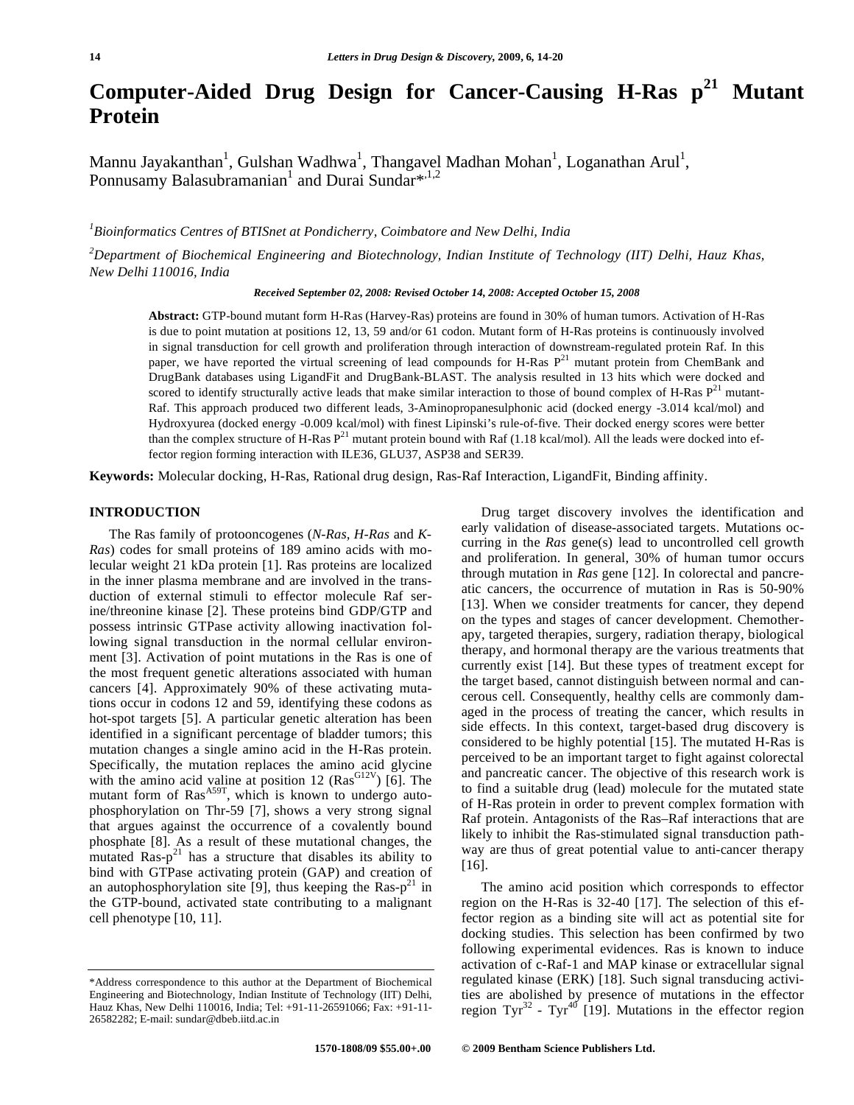# **Computer-Aided Drug Design for Cancer-Causing H-Ras p21 Mutant Protein**

Mannu Jayakanthan<sup>1</sup>, Gulshan Wadhwa<sup>1</sup>, Thangavel Madhan Mohan<sup>1</sup>, Loganathan Arul<sup>1</sup>, Ponnusamy Balasubramanian<sup>1</sup> and Durai Sundar<sup>\*,1,2</sup>

*1 Bioinformatics Centres of BTISnet at Pondicherry, Coimbatore and New Delhi, India* 

*2 Department of Biochemical Engineering and Biotechnology, Indian Institute of Technology (IIT) Delhi, Hauz Khas, New Delhi 110016, India* 

*Received September 02, 2008: Revised October 14, 2008: Accepted October 15, 2008*

**Abstract:** GTP-bound mutant form H-Ras (Harvey-Ras) proteins are found in 30% of human tumors. Activation of H-Ras is due to point mutation at positions 12, 13, 59 and/or 61 codon. Mutant form of H-Ras proteins is continuously involved in signal transduction for cell growth and proliferation through interaction of downstream-regulated protein Raf. In this paper, we have reported the virtual screening of lead compounds for H-Ras P<sup>21</sup> mutant protein from ChemBank and DrugBank databases using LigandFit and DrugBank-BLAST. The analysis resulted in 13 hits which were docked and scored to identify structurally active leads that make similar interaction to those of bound complex of H-Ras  $P<sup>21</sup>$  mutant-Raf. This approach produced two different leads, 3-Aminopropanesulphonic acid (docked energy -3.014 kcal/mol) and Hydroxyurea (docked energy -0.009 kcal/mol) with finest Lipinski's rule-of-five. Their docked energy scores were better than the complex structure of H-Ras  $P^{21}$  mutant protein bound with Raf (1.18 kcal/mol). All the leads were docked into effector region forming interaction with ILE36, GLU37, ASP38 and SER39.

**Keywords:** Molecular docking, H-Ras, Rational drug design, Ras-Raf Interaction, LigandFit, Binding affinity.

### **INTRODUCTION**

The Ras family of protooncogenes (*N-Ras, H-Ras* and *K-Ras*) codes for small proteins of 189 amino acids with molecular weight 21 kDa protein [1]. Ras proteins are localized in the inner plasma membrane and are involved in the transduction of external stimuli to effector molecule Raf serine/threonine kinase [2]. These proteins bind GDP/GTP and possess intrinsic GTPase activity allowing inactivation following signal transduction in the normal cellular environment [3]. Activation of point mutations in the Ras is one of the most frequent genetic alterations associated with human cancers [4]. Approximately 90% of these activating mutations occur in codons 12 and 59, identifying these codons as hot-spot targets [5]. A particular genetic alteration has been identified in a significant percentage of bladder tumors; this mutation changes a single amino acid in the H-Ras protein. Specifically, the mutation replaces the amino acid glycine with the amino acid valine at position 12  $(Ras^{G12V})$  [6]. The mutant form of  $\text{Ras}^{AS9T}$ , which is known to undergo autophosphorylation on Thr-59 [7], shows a very strong signal that argues against the occurrence of a covalently bound phosphate [8]. As a result of these mutational changes, the mutated  $\text{Ras-p}^{21}$  has a structure that disables its ability to bind with GTPase activating protein (GAP) and creation of an autophosphorylation site [9], thus keeping the Ras- $p<sup>21</sup>$  in the GTP-bound, activated state contributing to a malignant cell phenotype [10, 11].

Drug target discovery involves the identification and early validation of disease-associated targets. Mutations occurring in the *Ras* gene(s) lead to uncontrolled cell growth and proliferation. In general, 30% of human tumor occurs through mutation in *Ras* gene [12]. In colorectal and pancreatic cancers, the occurrence of mutation in Ras is 50-90% [13]. When we consider treatments for cancer, they depend on the types and stages of cancer development. Chemotherapy, targeted therapies, surgery, radiation therapy, biological therapy, and hormonal therapy are the various treatments that currently exist [14]. But these types of treatment except for the target based, cannot distinguish between normal and cancerous cell. Consequently, healthy cells are commonly damaged in the process of treating the cancer, which results in side effects. In this context, target-based drug discovery is considered to be highly potential [15]. The mutated H-Ras is perceived to be an important target to fight against colorectal and pancreatic cancer. The objective of this research work is to find a suitable drug (lead) molecule for the mutated state of H-Ras protein in order to prevent complex formation with Raf protein. Antagonists of the Ras–Raf interactions that are likely to inhibit the Ras-stimulated signal transduction pathway are thus of great potential value to anti-cancer therapy [16].

The amino acid position which corresponds to effector region on the H-Ras is 32-40 [17]. The selection of this effector region as a binding site will act as potential site for docking studies. This selection has been confirmed by two following experimental evidences. Ras is known to induce activation of c-Raf-1 and MAP kinase or extracellular signal regulated kinase (ERK) [18]. Such signal transducing activities are abolished by presence of mutations in the effector region Tyr<sup>32</sup> - Tyr<sup>40</sup> [19]. Mutations in the effector region

<sup>\*</sup>Address correspondence to this author at the Department of Biochemical Engineering and Biotechnology, Indian Institute of Technology (IIT) Delhi, Hauz Khas, New Delhi 110016, India; Tel: +91-11-26591066; Fax: +91-11- 26582282; E-mail: sundar@dbeb.iitd.ac.in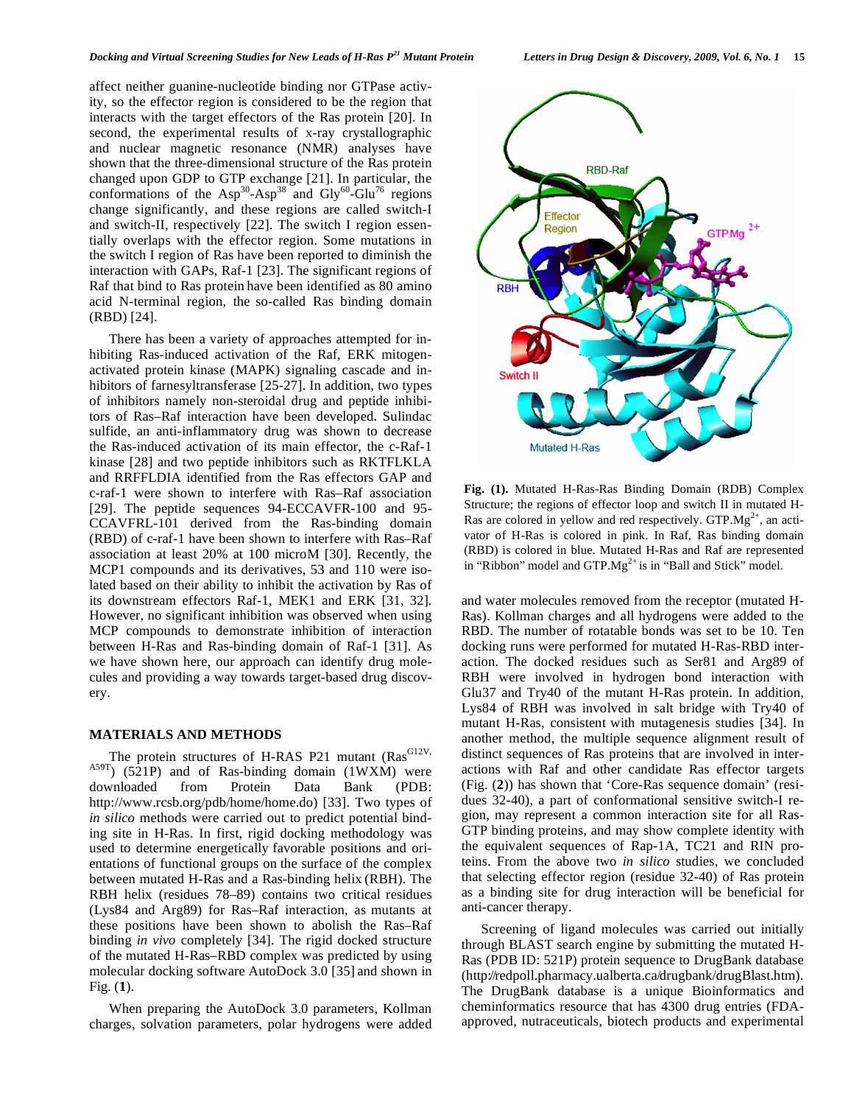affect neither guanine-nucleotide binding nor GTPase activity, so the effector region is considered to be the region that interacts with the target effectors of the Ras protein [20]. In second, the experimental results of x-ray crystallographic and nuclear magnetic resonance (NMR) analyses have shown that the three-dimensional structure of the Ras protein changed upon GDP to GTP exchange [21]. In particular, the conformations of the  $Asp^{30}-Asp^{38}$  and  $Gly^{60}-Glu^{76}$  regions change significantly, and these regions are called switch-I and switch-II, respectively [22]. The switch I region essentially overlaps with the effector region. Some mutations in the switch I region of Ras have been reported to diminish the interaction with GAPs, Raf-1 [23]. The significant regions of Raf that bind to Ras protein have been identified as 80 amino acid N-terminal region, the so-called Ras binding domain (RBD) [24].

There has been a variety of approaches attempted for inhibiting Ras-induced activation of the Raf, ERK mitogenactivated protein kinase (MAPK) signaling cascade and inhibitors of farnesyltransferase [25-27]. In addition, two types of inhibitors namely non-steroidal drug and peptide inhibitors of Ras–Raf interaction have been developed. Sulindac sulfide, an anti-inflammatory drug was shown to decrease the Ras-induced activation of its main effector, the c-Raf-1 kinase [28] and two peptide inhibitors such as RKTFLKLA and RRFFLDIA identified from the Ras effectors GAP and c-raf-1 were shown to interfere with Ras–Raf association [29]. The peptide sequences 94-ECCAVFR-100 and 95- CCAVFRL-101 derived from the Ras-binding domain (RBD) of c-raf-1 have been shown to interfere with Ras–Raf association at least 20% at 100 microM [30]. Recently, the MCP1 compounds and its derivatives, 53 and 110 were isolated based on their ability to inhibit the activation by Ras of its downstream effectors Raf-1, MEK1 and ERK [31, 32]. However, no significant inhibition was observed when using MCP compounds to demonstrate inhibition of interaction between H-Ras and Ras-binding domain of Raf-1 [31]. As we have shown here, our approach can identify drug molecules and providing a way towards target-based drug discovery.

### **MATERIALS AND METHODS**

The protein structures of H-RAS P21 mutant ( $\text{Ras}^{\text{G12V}}$ ,  $A59T$ ) (521P) and of Ras-binding domain (1WXM) were downloaded from Protein Data Bank (PDB: http://www.rcsb.org/pdb/home/home.do) [33]. Two types of *in silico* methods were carried out to predict potential binding site in H-Ras. In first, rigid docking methodology was used to determine energetically favorable positions and orientations of functional groups on the surface of the complex between mutated H-Ras and a Ras-binding helix (RBH). The RBH helix (residues 78–89) contains two critical residues (Lys84 and Arg89) for Ras–Raf interaction, as mutants at these positions have been shown to abolish the Ras–Raf binding *in vivo* completely [34]. The rigid docked structure of the mutated H-Ras–RBD complex was predicted by using molecular docking software AutoDock 3.0 [35] and shown in Fig. (**1**).

When preparing the AutoDock 3.0 parameters, Kollman charges, solvation parameters, polar hydrogens were added



**Fig. (1).** Mutated H-Ras-Ras Binding Domain (RDB) Complex Structure; the regions of effector loop and switch II in mutated H-Ras are colored in yellow and red respectively.  $GTP.Mg^{2+}$ , an activator of H-Ras is colored in pink. In Raf, Ras binding domain (RBD) is colored in blue. Mutated H-Ras and Raf are represented in "Ribbon" model and  $GTP.Mg^{2+}$  is in "Ball and Stick" model.

and water molecules removed from the receptor (mutated H-Ras). Kollman charges and all hydrogens were added to the RBD. The number of rotatable bonds was set to be 10. Ten docking runs were performed for mutated H-Ras-RBD interaction. The docked residues such as Ser81 and Arg89 of RBH were involved in hydrogen bond interaction with Glu37 and Try40 of the mutant H-Ras protein. In addition, Lys84 of RBH was involved in salt bridge with Try40 of mutant H-Ras, consistent with mutagenesis studies [34]. In another method, the multiple sequence alignment result of distinct sequences of Ras proteins that are involved in interactions with Raf and other candidate Ras effector targets (Fig. (**2**)) has shown that 'Core-Ras sequence domain' (residues 32-40), a part of conformational sensitive switch-I region, may represent a common interaction site for all Ras-GTP binding proteins, and may show complete identity with the equivalent sequences of Rap-1A, TC21 and RIN proteins. From the above two *in silico* studies, we concluded that selecting effector region (residue 32-40) of Ras protein as a binding site for drug interaction will be beneficial for anti-cancer therapy.

Screening of ligand molecules was carried out initially through BLAST search engine by submitting the mutated H-Ras (PDB ID: 521P) protein sequence to DrugBank database (http://redpoll.pharmacy.ualberta.ca/drugbank/drugBlast.htm). The DrugBank database is a unique Bioinformatics and cheminformatics resource that has 4300 drug entries (FDAapproved, nutraceuticals, biotech products and experimental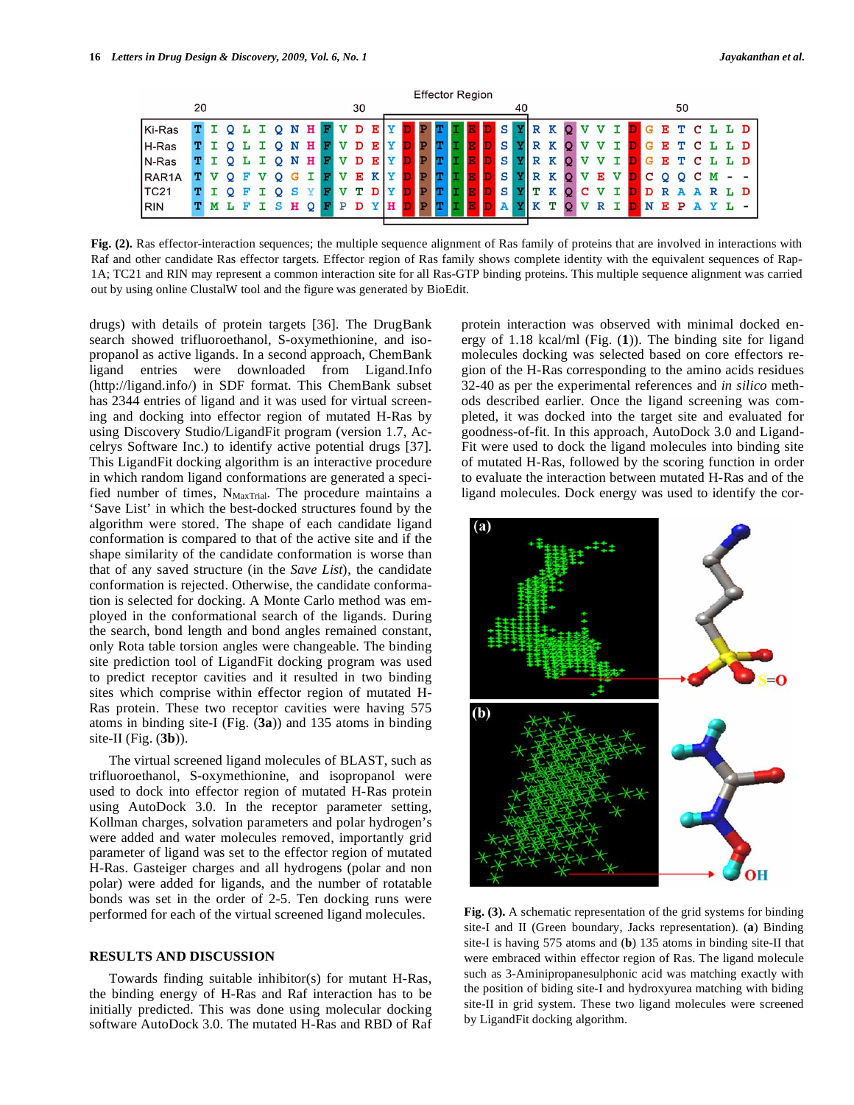| <b>Effector Region</b> |    |  |  |  |  |  |   |   |  |  |    |  |  |  |  |  |   |    |  |  |  |  |    |    |            |  |     |
|------------------------|----|--|--|--|--|--|---|---|--|--|----|--|--|--|--|--|---|----|--|--|--|--|----|----|------------|--|-----|
|                        | 20 |  |  |  |  |  |   |   |  |  | 30 |  |  |  |  |  |   | 40 |  |  |  |  |    | 50 |            |  |     |
| Ki-Ras                 |    |  |  |  |  |  | N | н |  |  |    |  |  |  |  |  | S |    |  |  |  |  | E. | m. | $\epsilon$ |  | L D |
| H-Ras                  |    |  |  |  |  |  |   | н |  |  |    |  |  |  |  |  | S |    |  |  |  |  |    |    |            |  | L D |
| N-Ras                  |    |  |  |  |  |  |   | н |  |  |    |  |  |  |  |  | s |    |  |  |  |  |    |    |            |  | D   |
| RAR <sub>1</sub> A     |    |  |  |  |  |  |   |   |  |  |    |  |  |  |  |  | S |    |  |  |  |  |    |    |            |  |     |
| <b>TC21</b>            |    |  |  |  |  |  |   |   |  |  |    |  |  |  |  |  | S |    |  |  |  |  |    |    |            |  | L D |
| RIN                    |    |  |  |  |  |  | н |   |  |  |    |  |  |  |  |  |   |    |  |  |  |  |    | P  |            |  |     |

Fig. (2). Ras effector-interaction sequences; the multiple sequence alignment of Ras family of proteins that are involved in interactions with Raf and other candidate Ras effector targets. Effector region of Ras family shows complete identity with the equivalent sequences of Rap-1A; TC21 and RIN may represent a common interaction site for all Ras-GTP binding proteins. This multiple sequence alignment was carried out by using online ClustalW tool and the figure was generated by BioEdit.

drugs) with details of protein targets [36]. The DrugBank search showed trifluoroethanol, S-oxymethionine, and isopropanol as active ligands. In a second approach, ChemBank ligand entries were downloaded from Ligand.Info (http://ligand.info/) in SDF format. This ChemBank subset has 2344 entries of ligand and it was used for virtual screening and docking into effector region of mutated H-Ras by using Discovery Studio/LigandFit program (version 1.7, Accelrys Software Inc.) to identify active potential drugs [37]. This LigandFit docking algorithm is an interactive procedure in which random ligand conformations are generated a specified number of times,  $N_{\text{MaxTrial}}$ . The procedure maintains a 'Save List' in which the best-docked structures found by the algorithm were stored. The shape of each candidate ligand conformation is compared to that of the active site and if the shape similarity of the candidate conformation is worse than that of any saved structure (in the *Save List*), the candidate conformation is rejected. Otherwise, the candidate conformation is selected for docking. A Monte Carlo method was employed in the conformational search of the ligands. During the search, bond length and bond angles remained constant, only Rota table torsion angles were changeable. The binding site prediction tool of LigandFit docking program was used to predict receptor cavities and it resulted in two binding sites which comprise within effector region of mutated H-Ras protein. These two receptor cavities were having 575 atoms in binding site-I (Fig. (**3a**)) and 135 atoms in binding site-II (Fig. (**3b**)).

The virtual screened ligand molecules of BLAST, such as trifluoroethanol, S-oxymethionine, and isopropanol were used to dock into effector region of mutated H-Ras protein using AutoDock 3.0. In the receptor parameter setting, Kollman charges, solvation parameters and polar hydrogen's were added and water molecules removed, importantly grid parameter of ligand was set to the effector region of mutated H-Ras. Gasteiger charges and all hydrogens (polar and non polar) were added for ligands, and the number of rotatable bonds was set in the order of 2-5. Ten docking runs were performed for each of the virtual screened ligand molecules.

#### **RESULTS AND DISCUSSION**

Towards finding suitable inhibitor(s) for mutant H-Ras, the binding energy of H-Ras and Raf interaction has to be initially predicted. This was done using molecular docking software AutoDock 3.0. The mutated H-Ras and RBD of Raf protein interaction was observed with minimal docked energy of 1.18 kcal/ml (Fig. (**1**)). The binding site for ligand molecules docking was selected based on core effectors region of the H-Ras corresponding to the amino acids residues 32-40 as per the experimental references and *in silico* methods described earlier. Once the ligand screening was completed, it was docked into the target site and evaluated for goodness-of-fit. In this approach, AutoDock 3.0 and Ligand-Fit were used to dock the ligand molecules into binding site of mutated H-Ras, followed by the scoring function in order to evaluate the interaction between mutated H-Ras and of the ligand molecules. Dock energy was used to identify the cor-



**Fig. (3).** A schematic representation of the grid systems for binding site-I and II (Green boundary, Jacks representation). (**a**) Binding site-I is having 575 atoms and (**b**) 135 atoms in binding site-II that were embraced within effector region of Ras. The ligand molecule such as 3-Aminipropanesulphonic acid was matching exactly with the position of biding site-I and hydroxyurea matching with biding site-II in grid system. These two ligand molecules were screened by LigandFit docking algorithm.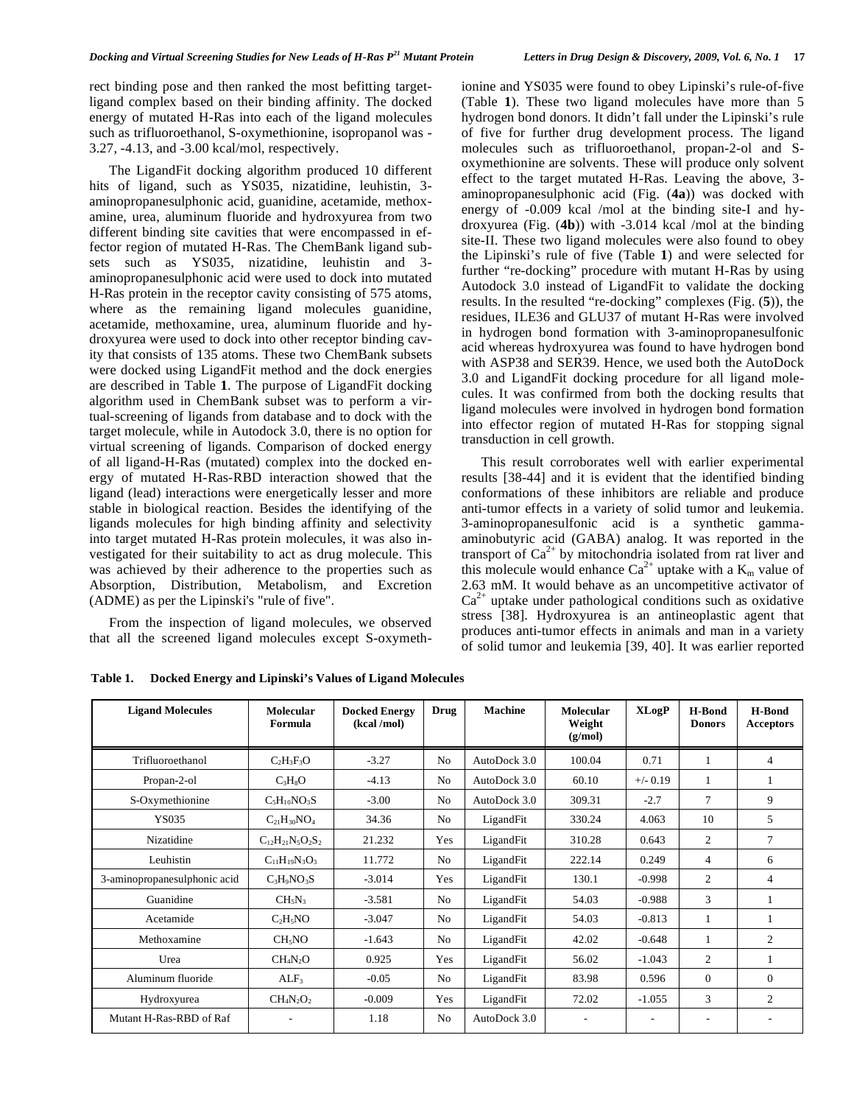rect binding pose and then ranked the most befitting targetligand complex based on their binding affinity. The docked energy of mutated H-Ras into each of the ligand molecules such as trifluoroethanol, S-oxymethionine, isopropanol was - 3.27, -4.13, and -3.00 kcal/mol, respectively.

The LigandFit docking algorithm produced 10 different hits of ligand, such as YS035, nizatidine, leuhistin, 3 aminopropanesulphonic acid, guanidine, acetamide, methoxamine, urea, aluminum fluoride and hydroxyurea from two different binding site cavities that were encompassed in effector region of mutated H-Ras. The ChemBank ligand subsets such as YS035, nizatidine, leuhistin and 3 aminopropanesulphonic acid were used to dock into mutated H-Ras protein in the receptor cavity consisting of 575 atoms, where as the remaining ligand molecules guanidine, acetamide, methoxamine, urea, aluminum fluoride and hydroxyurea were used to dock into other receptor binding cavity that consists of 135 atoms. These two ChemBank subsets were docked using LigandFit method and the dock energies are described in Table **1**. The purpose of LigandFit docking algorithm used in ChemBank subset was to perform a virtual-screening of ligands from database and to dock with the target molecule, while in Autodock 3.0, there is no option for virtual screening of ligands. Comparison of docked energy of all ligand-H-Ras (mutated) complex into the docked energy of mutated H-Ras-RBD interaction showed that the ligand (lead) interactions were energetically lesser and more stable in biological reaction. Besides the identifying of the ligands molecules for high binding affinity and selectivity into target mutated H-Ras protein molecules, it was also investigated for their suitability to act as drug molecule. This was achieved by their adherence to the properties such as Absorption, Distribution, Metabolism, and Excretion (ADME) as per the Lipinski's "rule of five".

From the inspection of ligand molecules, we observed that all the screened ligand molecules except S-oxymethionine and YS035 were found to obey Lipinski's rule-of-five (Table **1**). These two ligand molecules have more than 5 hydrogen bond donors. It didn't fall under the Lipinski's rule of five for further drug development process. The ligand molecules such as trifluoroethanol, propan-2-ol and Soxymethionine are solvents. These will produce only solvent effect to the target mutated H-Ras. Leaving the above, 3 aminopropanesulphonic acid (Fig. (**4a**)) was docked with energy of -0.009 kcal /mol at the binding site-I and hydroxyurea (Fig. (**4b**)) with -3.014 kcal /mol at the binding site-II. These two ligand molecules were also found to obey the Lipinski's rule of five (Table **1**) and were selected for further "re-docking" procedure with mutant H-Ras by using Autodock 3.0 instead of LigandFit to validate the docking results. In the resulted "re-docking" complexes (Fig. (**5**)), the residues, ILE36 and GLU37 of mutant H-Ras were involved in hydrogen bond formation with 3-aminopropanesulfonic acid whereas hydroxyurea was found to have hydrogen bond with ASP38 and SER39. Hence, we used both the AutoDock 3.0 and LigandFit docking procedure for all ligand molecules. It was confirmed from both the docking results that ligand molecules were involved in hydrogen bond formation into effector region of mutated H-Ras for stopping signal transduction in cell growth.

This result corroborates well with earlier experimental results [38-44] and it is evident that the identified binding conformations of these inhibitors are reliable and produce anti-tumor effects in a variety of solid tumor and leukemia. 3-aminopropanesulfonic acid is a synthetic gammaaminobutyric acid (GABA) analog. It was reported in the transport of  $Ca^{2+}$  by mitochondria isolated from rat liver and this molecule would enhance  $Ca^{2+}$  uptake with a  $K_m$  value of 2.63 mM. It would behave as an uncompetitive activator of  $Ca<sup>2+</sup>$  uptake under pathological conditions such as oxidative stress [38]. Hydroxyurea is an antineoplastic agent that produces anti-tumor effects in animals and man in a variety of solid tumor and leukemia [39, 40]. It was earlier reported

| <b>Ligand Molecules</b>      | <b>Molecular</b><br>Formula      | <b>Docked Energy</b><br>(kcal/mol) | <b>Drug</b>    | <b>Machine</b> | Molecular<br>Weight<br>(g/mol) | <b>XLogP</b> | <b>H-Bond</b><br><b>Donors</b> | <b>H-Bond</b><br><b>Acceptors</b> |
|------------------------------|----------------------------------|------------------------------------|----------------|----------------|--------------------------------|--------------|--------------------------------|-----------------------------------|
| Trifluoroethanol             | $C_2H_3F_3O$                     | $-3.27$                            | N <sub>o</sub> | AutoDock 3.0   | 100.04                         | 0.71         | $\mathbf{1}$                   | 4                                 |
| Propan-2-ol                  | $C_3H_8O$                        | $-4.13$                            | No             | AutoDock 3.0   | 60.10                          | $+/- 0.19$   | $\mathbf{1}$                   |                                   |
| S-Oxymethionine              | $C_5H_{10}NO_3S$                 | $-3.00$                            | N <sub>0</sub> | AutoDock 3.0   | 309.31                         | $-2.7$       | $\overline{7}$                 | 9                                 |
| YS035                        | $C_{21}H_{30}NO4$                | 34.36                              | N <sub>0</sub> | LigandFit      | 330.24                         | 4.063        | 10                             | 5                                 |
| Nizatidine                   | $C_{12}H_{21}N_5O_2S_2$          | 21.232                             | Yes            | LigandFit      | 310.28                         | 0.643        | 2                              | 7                                 |
| Leuhistin                    | $C_{11}H_{19}N_3O_3$             | 11.772                             | No             | LigandFit      | 222.14                         | 0.249        | $\overline{4}$                 | 6                                 |
| 3-aminopropanesulphonic acid | $C_3H_9NO_3S$                    | $-3.014$                           | Yes            | LigandFit      | 130.1                          | $-0.998$     | $\overline{2}$                 | $\overline{4}$                    |
| Guanidine                    | $CH_5N_3$                        | $-3.581$                           | N <sub>o</sub> | LigandFit      | 54.03                          | $-0.988$     | 3                              |                                   |
| Acetamide                    | $C_2H_5NO$                       | $-3.047$                           | N <sub>0</sub> | LigandFit      | 54.03                          | $-0.813$     | $\mathbf{1}$                   |                                   |
| Methoxamine                  | CH <sub>5</sub> NO               | $-1.643$                           | N <sub>0</sub> | LigandFit      | 42.02                          | $-0.648$     | $\mathbf{1}$                   | $\overline{c}$                    |
| Urea                         | CH <sub>4</sub> N <sub>2</sub> O | 0.925                              | Yes            | LigandFit      | 56.02                          | $-1.043$     | $\overline{2}$                 |                                   |
| Aluminum fluoride            | $ALF_3$                          | $-0.05$                            | N <sub>0</sub> | LigandFit      | 83.98                          | 0.596        | $\Omega$                       | $\Omega$                          |
| Hydroxyurea                  | $CH_4N_2O_2$                     | $-0.009$                           | Yes            | LigandFit      | 72.02                          | $-1.055$     | 3                              | $\overline{2}$                    |
| Mutant H-Ras-RBD of Raf      |                                  | 1.18                               | N <sub>o</sub> | AutoDock 3.0   |                                |              |                                |                                   |

**Table 1. Docked Energy and Lipinski's Values of Ligand Molecules**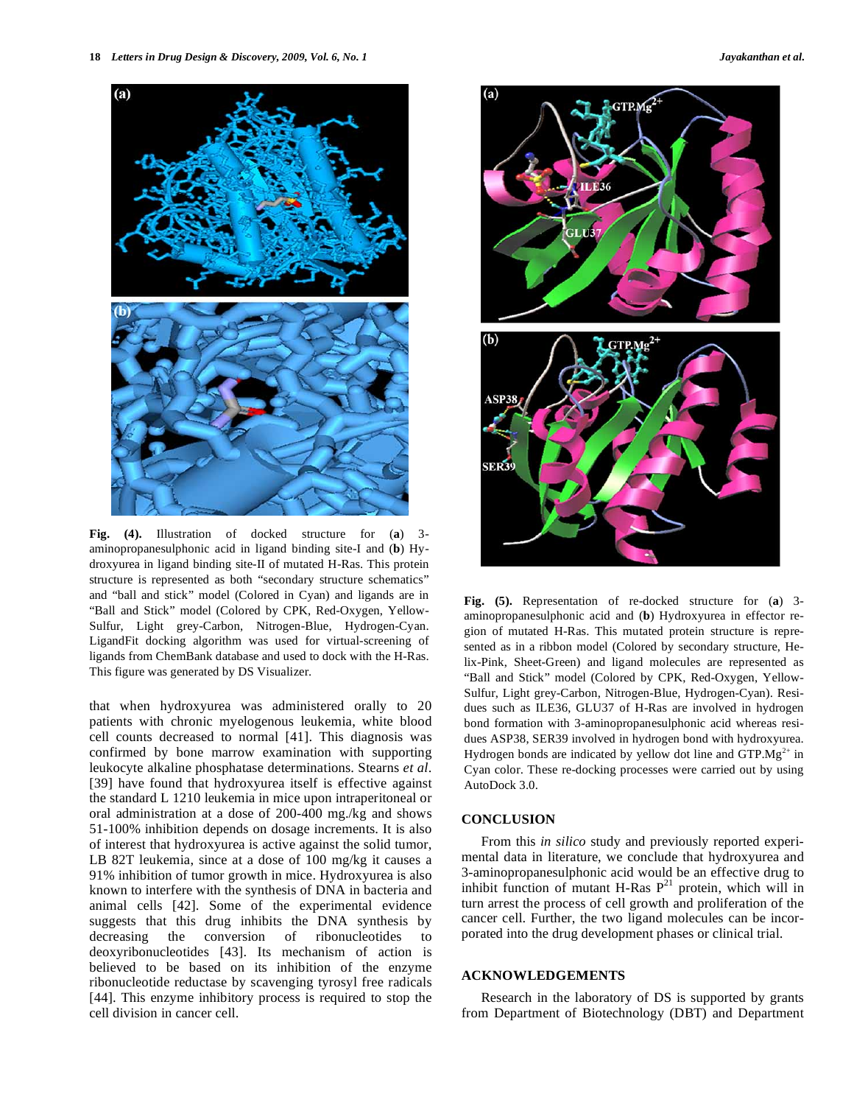

**Fig. (4).** Illustration of docked structure for (**a**) 3 aminopropanesulphonic acid in ligand binding site-I and (**b**) Hydroxyurea in ligand binding site-II of mutated H-Ras. This protein structure is represented as both "secondary structure schematics" and "ball and stick" model (Colored in Cyan) and ligands are in "Ball and Stick" model (Colored by CPK, Red-Oxygen, Yellow-Sulfur, Light grey-Carbon, Nitrogen-Blue, Hydrogen-Cyan. LigandFit docking algorithm was used for virtual-screening of ligands from ChemBank database and used to dock with the H-Ras. This figure was generated by DS Visualizer.

that when hydroxyurea was administered orally to 20 patients with chronic myelogenous leukemia, white blood cell counts decreased to normal [41]. This diagnosis was confirmed by bone marrow examination with supporting leukocyte alkaline phosphatase determinations. Stearns *et al*. [39] have found that hydroxyurea itself is effective against the standard L 1210 leukemia in mice upon intraperitoneal or oral administration at a dose of 200-400 mg./kg and shows 51-100% inhibition depends on dosage increments. It is also of interest that hydroxyurea is active against the solid tumor, LB 82T leukemia, since at a dose of 100 mg/kg it causes a 91% inhibition of tumor growth in mice. Hydroxyurea is also known to interfere with the synthesis of DNA in bacteria and animal cells [42]. Some of the experimental evidence suggests that this drug inhibits the DNA synthesis by decreasing the conversion of ribonucleotides to deoxyribonucleotides [43]. Its mechanism of action is believed to be based on its inhibition of the enzyme ribonucleotide reductase by scavenging tyrosyl free radicals [44]. This enzyme inhibitory process is required to stop the cell division in cancer cell.





**Fig. (5).** Representation of re-docked structure for (**a**) 3 aminopropanesulphonic acid and (**b**) Hydroxyurea in effector region of mutated H-Ras. This mutated protein structure is represented as in a ribbon model (Colored by secondary structure, Helix-Pink, Sheet-Green) and ligand molecules are represented as "Ball and Stick" model (Colored by CPK, Red-Oxygen, Yellow-Sulfur, Light grey-Carbon, Nitrogen-Blue, Hydrogen-Cyan). Residues such as ILE36, GLU37 of H-Ras are involved in hydrogen bond formation with 3-aminopropanesulphonic acid whereas residues ASP38, SER39 involved in hydrogen bond with hydroxyurea. Hydrogen bonds are indicated by yellow dot line and  $GTP.Mg^{2+}$  in Cyan color. These re-docking processes were carried out by using AutoDock 3.0.

### **CONCLUSION**

From this *in silico* study and previously reported experimental data in literature, we conclude that hydroxyurea and 3-aminopropanesulphonic acid would be an effective drug to inhibit function of mutant H-Ras  $P^{21}$  protein, which will in turn arrest the process of cell growth and proliferation of the cancer cell. Further, the two ligand molecules can be incorporated into the drug development phases or clinical trial.

## **ACKNOWLEDGEMENTS**

Research in the laboratory of DS is supported by grants from Department of Biotechnology (DBT) and Department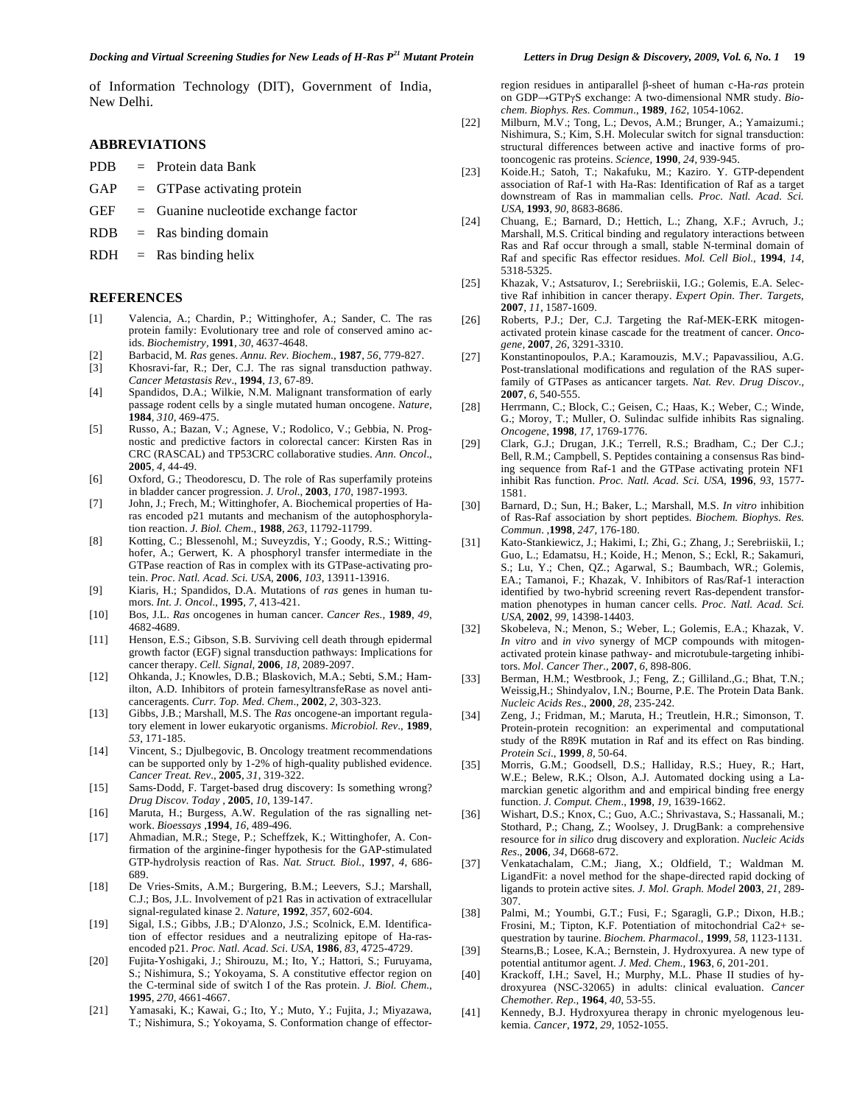of Information Technology (DIT), Government of India, New Delhi.

#### **ABBREVIATIONS**

- PDB = Protein data Bank
- $GAP = GTP$ ase activating protein
- GEF = Guanine nucleotide exchange factor
- $RDB =$ Ras binding domain
- $RDH$  = Ras binding helix

#### **REFERENCES**

- [1] Valencia, A.; Chardin, P.; Wittinghofer, A.; Sander, C. The ras protein family: Evolutionary tree and role of conserved amino acids. *Biochemistry,* **1991**, *30*, 4637-4648.
- [2] Barbacid, M. *Ras* genes. *Annu. Rev. Biochem.,* **1987**, *56*, 779-827.
- [3] Khosravi-far, R.; Der, C.J. The ras signal transduction pathway. *Cancer Metastasis Rev*., **1994**, *13*, 67-89.
- [4] Spandidos, D.A.; Wilkie, N.M. Malignant transformation of early passage rodent cells by a single mutated human oncogene. *Nature,* **1984**, *310*, 469-475.
- [5] Russo, A.; Bazan, V.; Agnese, V.; Rodolico, V.; Gebbia, N. Prognostic and predictive factors in colorectal cancer: Kirsten Ras in CRC (RASCAL) and TP53CRC collaborative studies. *Ann. Oncol*., **2005**, *4,* 44-49.
- [6] Oxford, G.; Theodorescu, D. The role of Ras superfamily proteins in bladder cancer progression. *J. Urol.,* **2003**, *170*, 1987-1993.
- [7] John, J.; Frech, M.; Wittinghofer, A. Biochemical properties of Haras encoded p21 mutants and mechanism of the autophosphorylation reaction. *J. Biol. Chem*., **1988**, *263*, 11792-11799.
- [8] Kotting, C.; Blessenohl, M.; Suveyzdis, Y.; Goody, R.S.; Wittinghofer, A.; Gerwert, K. A phosphoryl transfer intermediate in the GTPase reaction of Ras in complex with its GTPase-activating protein. *Proc. Natl. Acad. Sci. USA,* **2006**, *103*, 13911-13916.
- [9] Kiaris, H.; Spandidos, D.A. Mutations of *ras* genes in human tumors. *Int. J. Oncol*., **1995**, *7*, 413-421.
- [10] Bos, J.L. *Ras* oncogenes in human cancer. *Cancer Res.,* **1989**, *49*, 4682-4689.
- [11] Henson, E.S.; Gibson, S.B. Surviving cell death through epidermal growth factor (EGF) signal transduction pathways: Implications for cancer therapy. *Cell. Signal,* **2006**, *18*, 2089-2097.
- [12] Ohkanda, J.; Knowles, D.B.; Blaskovich, M.A.; Sebti, S.M.; Hamilton, A.D. Inhibitors of protein farnesyltransfeRase as novel anticanceragents*. Curr. Top. Med. Chem*., **2002**, *2*, 303-323.
- [13] Gibbs, J.B.; Marshall, M.S. The *Ras* oncogene-an important regulatory element in lower eukaryotic organisms. *Microbiol. Rev*., **1989**, *53*, 171-185.
- [14] Vincent, S.; Djulbegovic, B. Oncology treatment recommendations can be supported only by 1-2% of high-quality published evidence. *Cancer Treat. Rev*., **2005**, *31*, 319-322.
- [15] Sams-Dodd, F. Target-based drug discovery: Is something wrong? *Drug Discov. Today ,* **2005**, *10*, 139-147.
- [16] Maruta, H.; Burgess, A.W. Regulation of the ras signalling network. *Bioessays* ,**1994**, *16*, 489-496.
- [17] Ahmadian, M.R.; Stege, P.; Scheffzek, K.; Wittinghofer, A. Confirmation of the arginine-finger hypothesis for the GAP-stimulated GTP-hydrolysis reaction of Ras. *Nat. Struct. Biol.,* **1997**, *4*, 686- 689.
- [18] De Vries-Smits, A.M.; Burgering, B.M.; Leevers, S.J.; Marshall, C.J.; Bos, J.L. Involvement of p21 Ras in activation of extracellular signal-regulated kinase 2. *Nature*, **1992**, *357*, 602-604.
- [19] Sigal, I.S.; Gibbs, J.B.; D'Alonzo, J.S.; Scolnick, E.M. Identification of effector residues and a neutralizing epitope of Ha-rasencoded p21. *Proc. Natl. Acad. Sci*. *USA,* **1986**, *83*, 4725-4729.
- [20] Fujita-Yoshigaki, J.; Shirouzu, M.; Ito, Y.; Hattori, S.; Furuyama, S.; Nishimura, S.; Yokoyama, S. A constitutive effector region on the C-terminal side of switch I of the Ras protein. *J. Biol. Chem.*, **1995**, *270*, 4661-4667.
- [21] Yamasaki, K.; Kawai, G.; Ito, Y.; Muto, Y.; Fujita, J.; Miyazawa, T.; Nishimura, S.; Yokoyama, S. Conformation change of effector-

region residues in antiparallel β-sheet of human c-Ha-ras protein on GDP→GTPγS exchange: A two-dimensional NMR study. *Biochem. Biophys. Res. Commun*., **1989**, *162*, 1054-1062.

- [22] Milburn, M.V.; Tong, L.; Devos, A.M.; Brunger, A.; Yamaizumi.; Nishimura, S.; Kim, S.H. Molecular switch for signal transduction: structural differences between active and inactive forms of protooncogenic ras proteins. *Science,* **1990**, *24*, 939-945.
- [23] Koide.H.; Satoh, T.; Nakafuku, M.; Kaziro. Y. GTP-dependent association of Raf-1 with Ha-Ras: Identification of Raf as a target downstream of Ras in mammalian cells. *Proc. Natl. Acad. Sci. USA,* **1993**, *90*, 8683-8686.
- [24] Chuang, E.; Barnard, D.; Hettich, L.; Zhang, X.F.; Avruch, J.; Marshall, M.S. Critical binding and regulatory interactions between Ras and Raf occur through a small, stable N-terminal domain of Raf and specific Ras effector residues. *Mol. Cell Biol.,* **1994**, *14*, 5318-5325.
- [25] Khazak, V.; Astsaturov, I.; Serebriiskii, I.G.; Golemis, E.A. Selective Raf inhibition in cancer therapy. *Expert Opin. Ther. Targets,* **2007**, *11*, 1587-1609.
- [26] Roberts, P.J.; Der, C.J. Targeting the Raf-MEK-ERK mitogenactivated protein kinase cascade for the treatment of cancer. *Oncogene,* **2007**, *26*, 3291-3310.
- [27] Konstantinopoulos, P.A.; Karamouzis, M.V.; Papavassiliou, A.G. Post-translational modifications and regulation of the RAS superfamily of GTPases as anticancer targets. *Nat. Rev. Drug Discov.,* **2007**, *6*, 540-555.
- [28] Herrmann, C.; Block, C.; Geisen, C.; Haas, K.; Weber, C.; Winde, G.; Moroy, T.; Muller, O. Sulindac sulfide inhibits Ras signaling. *Oncogene,* **1998**, *17*, 1769-1776.
- [29] Clark, G.J.; Drugan, J.K.; Terrell, R.S.; Bradham, C.; Der C.J.; Bell, R.M.; Campbell, S. Peptides containing a consensus Ras binding sequence from Raf-1 and the GTPase activating protein NF1 inhibit Ras function. *Proc. Natl. Acad. Sci. USA,* **1996**, *93*, 1577- 1581.
- [30] Barnard, D.; Sun, H.; Baker, L.; Marshall, M.S. *In vitro* inhibition of Ras-Raf association by short peptides. *Biochem. Biophys. Res. Commun*. ,**1998**, *247*, 176-180.
- [31] Kato-Stankiewicz, J.; Hakimi, I.; Zhi, G.; Zhang, J.; Serebriiskii, I.; Guo, L.; Edamatsu, H.; Koide, H.; Menon, S.; Eckl, R.; Sakamuri, S.; Lu, Y.; Chen, QZ.; Agarwal, S.; Baumbach, WR.; Golemis, EA.; Tamanoi, F.; Khazak, V. Inhibitors of Ras/Raf-1 interaction identified by two-hybrid screening revert Ras-dependent transformation phenotypes in human cancer cells. *Proc. Natl. Acad. Sci. USA*, **2002**, *99*, 14398-14403.
- [32] Skobeleva, N.; Menon, S.; Weber, L.; Golemis, E.A.; Khazak, V. *In vitro* and *in vivo* synergy of MCP compounds with mitogenactivated protein kinase pathway- and microtubule-targeting inhibitors. *Mol. Cancer Ther.,* **2007**, *6*, 898-806.
- [33] Berman, H.M.; Westbrook, J.; Feng, Z.; Gilliland., G.; Bhat, T.N.; Weissig,H.; Shindyalov, I.N.; Bourne, P.E. The Protein Data Bank. *Nucleic Acids Res*., **2000**, *28*, 235-242.
- [34] Zeng, J.; Fridman, M.; Maruta, H.; Treutlein, H.R.; Simonson, T. Protein-protein recognition: an experimental and computational study of the R89K mutation in Raf and its effect on Ras binding. *Protein Sci*., **1999**, *8*, 50-64.
- [35] Morris, G.M.; Goodsell, D.S.; Halliday, R.S.; Huey, R.; Hart, W.E.; Belew, R.K.; Olson, A.J. Automated docking using a Lamarckian genetic algorithm and and empirical binding free energy function. *J. Comput. Chem*., **1998**, *19*, 1639-1662.
- [36] Wishart, D.S.; Knox, C.; Guo, A.C.; Shrivastava, S.; Hassanali, M.; Stothard, P.; Chang, Z.; Woolsey, J. DrugBank: a comprehensive resource for *in silico* drug discovery and exploration. *Nucleic Acids Res*., **2006**, *34*, D668-672.
- [37] Venkatachalam, C.M.; Jiang, X.; Oldfield, T.; Waldman M. LigandFit: a novel method for the shape-directed rapid docking of ligands to protein active sites. *J. Mol. Graph. Model* **2003**, *21*, 289- 307.
- [38] Palmi, M.; Youmbi, G.T.; Fusi, F.; Sgaragli, G.P.; Dixon, H.B.; Frosini, M.; Tipton, K.F. Potentiation of mitochondrial Ca2+ sequestration by taurine. *Biochem. Pharmacol*., **1999**, *58*, 1123-1131.
- [39] Stearns,B.; Losee, K.A.; Bernstein, J. Hydroxyurea. A new type of potential antitumor agent. *J. Med. Chem.,* **1963**, *6*, 201-201.
- [40] Krackoff, I.H.; Savel, H.; Murphy, M.L. Phase II studies of hydroxyurea (NSC-32065) in adults: clinical evaluation. *Cancer Chemother. Rep.,* **1964**, *40*, 53-55.
- [41] Kennedy, B.J. Hydroxyurea therapy in chronic myelogenous leukemia. *Cancer*, **1972**, *29*, 1052-1055.